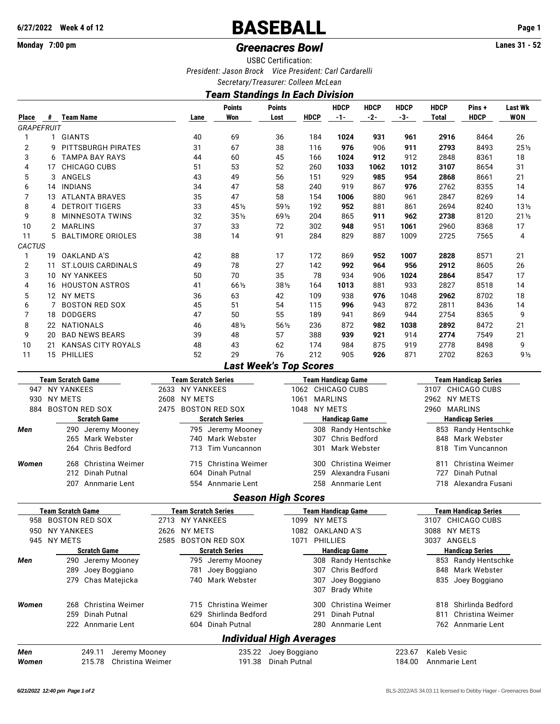# **6/27/2022 Week 4 of 12** BASEBALL **Page 1**

# **Monday 7:00 pm** *Greenacres Bowl* **Lanes 31 - 52**

USBC Certification:

*President: Jason Brock Vice President: Carl Cardarelli*

*Secretary/Treasurer: Colleen McLean*

## *Team Standings In Each Division*

|                   |                     |                          |                            |      |                                                         |                               | ,  .                  | -                       |                                     |                      |                             |                             |                                               |                       |  |  |  |
|-------------------|---------------------|--------------------------|----------------------------|------|---------------------------------------------------------|-------------------------------|-----------------------|-------------------------|-------------------------------------|----------------------|-----------------------------|-----------------------------|-----------------------------------------------|-----------------------|--|--|--|
| Place             |                     | # Team Name              |                            |      | Lane                                                    | <b>Points</b><br>Won          | <b>Points</b><br>Lost | <b>HDCP</b>             | <b>HDCP</b><br>$-1-$                | <b>HDCP</b><br>$-2-$ | <b>HDCP</b><br>-3-          | <b>HDCP</b><br><b>Total</b> | Pins +<br><b>HDCP</b>                         | Last Wk<br><b>WON</b> |  |  |  |
| <b>GRAPEFRUIT</b> |                     |                          |                            |      |                                                         |                               |                       |                         |                                     |                      |                             |                             |                                               |                       |  |  |  |
| 1                 |                     | 1 GIANTS                 |                            |      | 40                                                      | 69                            | 36                    | 184                     | 1024                                | 931                  | 961                         | 2916                        | 8464                                          | 26                    |  |  |  |
| $\overline{2}$    | 9                   |                          | PITTSBURGH PIRATES         |      | 31                                                      | 67                            | 38                    | 116                     | 976                                 | 906                  | 911                         | 2793                        | 8493                                          | 251/2                 |  |  |  |
| 3                 | 6                   |                          | <b>TAMPA BAY RAYS</b>      |      | 44                                                      | 60                            | 45                    | 166                     | 1024                                | 912                  | 912                         | 2848                        | 8361                                          | 18                    |  |  |  |
| 4                 | 17                  |                          | CHICAGO CUBS               |      | 51                                                      | 53                            | 52                    | 260                     | 1033                                | 1062                 | 1012                        | 3107                        | 8654                                          | 31                    |  |  |  |
| 5                 |                     | 3 ANGELS                 |                            |      | 43                                                      | 49                            | 56                    | 151                     | 929                                 | 985                  | 954                         | 2868                        | 8661                                          | 21                    |  |  |  |
| 6                 |                     | 14 INDIANS               |                            |      | 34                                                      | 47                            | 58                    | 240                     | 919                                 | 867                  | 976                         | 2762                        | 8355                                          | 14                    |  |  |  |
| 7                 |                     |                          | 13 ATLANTA BRAVES          |      | 35                                                      | 47                            | 58                    | 154                     | 1006                                | 880                  | 961                         | 2847                        | 8269                                          | 14                    |  |  |  |
| 8                 | 4                   |                          | <b>DETROIT TIGERS</b>      |      | 33                                                      | 451/2                         | 591/2                 | 192                     | 952                                 | 881                  | 861                         | 2694                        | 8240                                          | $13\frac{1}{2}$       |  |  |  |
| 9                 | 8                   |                          | MINNESOTA TWINS            |      | 32                                                      | $35\frac{1}{2}$               | 691/2                 | 204                     | 865                                 | 911                  | 962                         | 2738                        | 8120                                          | $21\frac{1}{2}$       |  |  |  |
| 10                |                     | 2 MARLINS                |                            |      | 37                                                      | 33                            | 72                    | 302                     | 948                                 | 951                  | 1061                        | 2960                        | 8368                                          | 17                    |  |  |  |
| 11                | 5                   |                          | <b>BALTIMORE ORIOLES</b>   |      | 38                                                      | 14                            | 91                    | 284                     | 829                                 | 887                  | 1009                        | 2725                        | 7565                                          | 4                     |  |  |  |
| CACTUS            |                     |                          |                            |      |                                                         |                               |                       |                         |                                     |                      |                             |                             |                                               |                       |  |  |  |
|                   |                     |                          |                            |      |                                                         |                               |                       |                         |                                     |                      |                             |                             |                                               |                       |  |  |  |
| 1                 |                     |                          | 19 OAKLAND A'S             |      | 42<br>49                                                | 88<br>78                      | 17<br>27              | 172                     | 869<br>992                          | 952<br>964           | 1007<br>956                 | 2828<br>2912                | 8571<br>8605                                  | 21                    |  |  |  |
| $\overline{2}$    | 11                  |                          | <b>ST.LOUIS CARDINALS</b>  |      |                                                         |                               |                       | 142                     |                                     |                      |                             |                             |                                               | 26                    |  |  |  |
| 3                 | 10                  |                          | <b>NY YANKEES</b>          |      | 50                                                      | 70                            | 35                    | 78                      | 934                                 | 906                  | 1024                        | 2864                        | 8547                                          | 17                    |  |  |  |
| 4                 |                     |                          | 16 HOUSTON ASTROS          |      | 41                                                      | 661/2                         | 381/2                 | 164                     | 1013                                | 881                  | 933                         | 2827                        | 8518                                          | 14                    |  |  |  |
| 5                 |                     | 12 NY METS               |                            |      | 36                                                      | 63                            | 42                    | 109                     | 938                                 | 976                  | 1048                        | 2962                        | 8702                                          | 18                    |  |  |  |
| 6                 | 7                   |                          | <b>BOSTON RED SOX</b>      |      | 45                                                      | 51                            | 54                    | 115                     | 996                                 | 943                  | 872                         | 2811                        | 8436                                          | 14                    |  |  |  |
| 7                 | 18                  | <b>DODGERS</b>           |                            |      | 47                                                      | 50                            | 55                    | 189                     | 941                                 | 869                  | 944                         | 2754                        | 8365                                          | 9                     |  |  |  |
| 8                 |                     | 22 NATIONALS             |                            |      | 46                                                      | 481/2                         | 561/2                 | 236                     | 872                                 | 982                  | 1038                        | 2892                        | 8472                                          | 21                    |  |  |  |
| 9                 | 20                  |                          | <b>BAD NEWS BEARS</b>      |      | 39                                                      | 48                            | 57                    | 388                     | 939                                 | 921                  | 914                         | 2774                        | 7549                                          | 21                    |  |  |  |
| 10                | 21                  |                          | <b>KANSAS CITY ROYALS</b>  |      | 48                                                      | 43                            | 62                    | 174                     | 984                                 | 875                  | 919                         | 2778                        | 8498                                          | 9                     |  |  |  |
| 11                |                     | 15 PHILLIES              |                            |      | 52                                                      | 29                            | 76                    | 212                     | 905                                 | 926                  | 871                         | 2702                        | 8263                                          | 9 <sub>2</sub>        |  |  |  |
|                   |                     |                          |                            |      |                                                         | <b>Last Week's Top Scores</b> |                       |                         |                                     |                      |                             |                             |                                               |                       |  |  |  |
|                   |                     | <b>Team Scratch Game</b> |                            |      | <b>Team Scratch Series</b><br><b>Team Handicap Game</b> |                               |                       |                         |                                     |                      | <b>Team Handicap Series</b> |                             |                                               |                       |  |  |  |
|                   | 947 NY YANKEES      |                          |                            |      | 2633 NY YANKEES                                         |                               |                       |                         | 1062 CHICAGO CUBS                   |                      | 3107 CHICAGO CUBS           |                             |                                               |                       |  |  |  |
| 930               | <b>NY METS</b>      |                          |                            | 2608 | <b>NY METS</b>                                          |                               | 1061                  |                         | <b>MARLINS</b>                      |                      |                             | 2962 NY METS                |                                               |                       |  |  |  |
|                   | 884 BOSTON RED SOX  |                          |                            | 2475 |                                                         | <b>BOSTON RED SOX</b>         |                       | 1048 NY METS            |                                     |                      |                             | 2960 MARLINS                |                                               |                       |  |  |  |
|                   | <b>Scratch Game</b> |                          |                            |      |                                                         | <b>Scratch Series</b>         |                       |                         | <b>Handicap Game</b>                |                      |                             |                             | <b>Handicap Series</b>                        |                       |  |  |  |
| Men               |                     |                          | 290 Jeremy Mooney          |      |                                                         | 795 Jeremy Mooney             |                       |                         | 308 Randy Hentschke                 |                      |                             |                             | 853 Randy Hentschke                           |                       |  |  |  |
|                   |                     |                          | 265 Mark Webster           |      | 740                                                     | Mark Webster                  |                       | 307                     | <b>Chris Bedford</b>                |                      |                             | 848                         | Mark Webster                                  |                       |  |  |  |
|                   |                     | 264                      | Chris Bedford              |      | 713                                                     | <b>Tim Vuncannon</b>          |                       | 301                     | Mark Webster                        |                      |                             | 818                         | <b>Tim Vuncannon</b>                          |                       |  |  |  |
|                   |                     |                          |                            |      |                                                         |                               |                       |                         |                                     |                      |                             |                             |                                               |                       |  |  |  |
| Women             |                     | 268                      | Christina Weimer           |      | 715                                                     | Christina Weimer              |                       | 300                     |                                     | Christina Weimer     |                             | 811                         | Christina Weimer                              |                       |  |  |  |
|                   | 212 Dinah Putnal    |                          |                            |      | 604                                                     | <b>Dinah Putnal</b>           |                       | 259<br>Alexandra Fusani |                                     |                      |                             | Dinah Putnal<br>727         |                                               |                       |  |  |  |
|                   |                     |                          | 207 Annmarie Lent          |      | 554                                                     | Annmarie Lent                 |                       |                         | 258 Annmarie Lent                   |                      | 718<br>Alexandra Fusani     |                             |                                               |                       |  |  |  |
|                   |                     |                          |                            |      |                                                         | <b>Season High Scores</b>     |                       |                         |                                     |                      |                             |                             |                                               |                       |  |  |  |
|                   |                     | <b>Feam Scratch Game</b> |                            |      |                                                         | Team Scratch Series           |                       |                         | Team Handicap Game                  |                      |                             |                             | Team Handicap Series                          |                       |  |  |  |
| 958               |                     |                          | <b>BOSTON RED SOX</b>      |      | 2713 NY YANKEES                                         |                               |                       | 1099 NY METS            |                                     |                      |                             |                             | 3107 CHICAGO CUBS                             |                       |  |  |  |
| 950               |                     | <b>NY YANKEES</b>        |                            |      | 2626 NY METS                                            |                               |                       |                         | 1082 OAKLAND A'S                    |                      |                             | 3088                        | NY METS                                       |                       |  |  |  |
|                   |                     | 945 NY METS              |                            | 2585 |                                                         | <b>BOSTON RED SOX</b>         |                       | 1071 PHILLIES           |                                     |                      |                             | 3037 ANGELS                 |                                               |                       |  |  |  |
|                   |                     |                          |                            |      |                                                         |                               |                       |                         |                                     |                      |                             |                             |                                               |                       |  |  |  |
|                   |                     |                          | <b>Scratch Game</b>        |      |                                                         | <b>Scratch Series</b>         |                       |                         | <b>Handicap Game</b>                |                      |                             |                             | <b>Handicap Series</b><br>853 Randy Hentschke |                       |  |  |  |
| Men               |                     | 290 Jeremy Mooney        |                            |      |                                                         | 795 Jeremy Mooney             |                       |                         | 308 Randy Hentschke                 |                      |                             |                             |                                               |                       |  |  |  |
|                   |                     | 289 Joey Boggiano        |                            |      |                                                         | 781 Joey Boggiano             |                       | 307                     | Chris Bedford                       |                      |                             | 848                         | Mark Webster                                  |                       |  |  |  |
|                   |                     |                          | 279 Chas Matejicka         |      |                                                         | 740 Mark Webster              |                       | 307<br>307              | Joey Boggiano<br><b>Brady White</b> |                      |                             | 835                         | Joey Boggiano                                 |                       |  |  |  |
|                   |                     |                          |                            |      |                                                         |                               |                       |                         |                                     |                      |                             |                             |                                               |                       |  |  |  |
| Women             |                     | 268                      | Christina Weimer           |      |                                                         | 715 Christina Weimer          |                       | 300                     |                                     | Christina Weimer     |                             |                             | 818 Shirlinda Bedford                         |                       |  |  |  |
|                   |                     | 259                      | Dinah Putnal               |      | 629                                                     | Shirlinda Bedford             |                       | 291                     | Dinah Putnal                        |                      |                             | 811                         | Christina Weimer                              |                       |  |  |  |
|                   |                     |                          | 222 Annmarie Lent          |      |                                                         | 604 Dinah Putnal              |                       |                         | 280 Annmarie Lent                   |                      |                             |                             | 762 Annmarie Lent                             |                       |  |  |  |
|                   |                     |                          |                            |      |                                                         | Individual High Averages      |                       |                         |                                     |                      |                             |                             |                                               |                       |  |  |  |
| Men               |                     |                          | Jeremy Mooney<br>249.11    |      |                                                         | 235.22                        | Joey Boggiano         |                         |                                     |                      | 223.67                      | Kaleb Vesic                 |                                               |                       |  |  |  |
| Women             |                     |                          | 215.78<br>Christina Weimer |      |                                                         | 191.38                        | Dinah Putnal          |                         |                                     |                      | 184.00                      | Annmarie Lent               |                                               |                       |  |  |  |
|                   |                     |                          |                            |      |                                                         |                               |                       |                         |                                     |                      |                             |                             |                                               |                       |  |  |  |